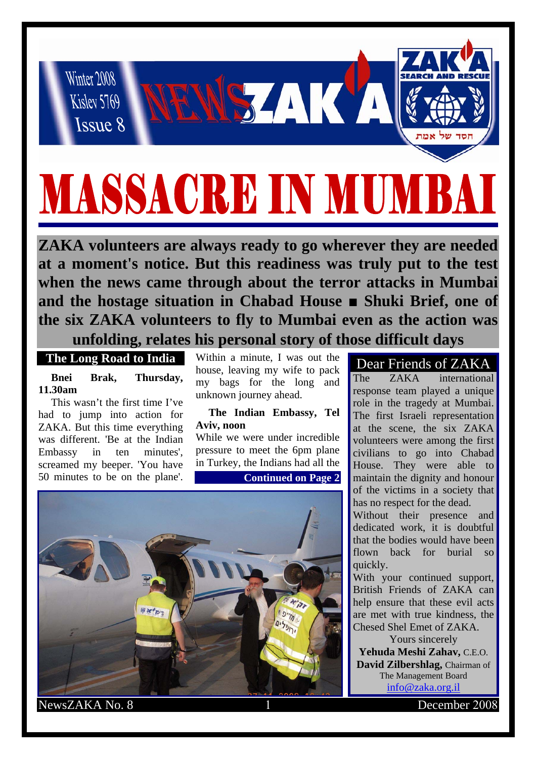

MASSACRE IN MUI **ZAKA volunteers are always ready to go wherever they are needed** 

**at a moment's notice. But this readiness was truly put to the test when the news came through about the terror attacks in Mumbai and the hostage situation in Chabad House** ■ **Shuki Brief, one of the six ZAKA volunteers to fly to Mumbai even as the action was unfolding, relates his personal story of those difficult days** 

## **The Long Road to India**

**Bnei Brak, Thursday, 11.30am** 

This wasn't the first time I've had to jump into action for ZAKA. But this time everything was different. 'Be at the Indian Embassy in ten minutes', screamed my beeper. 'You have 50 minutes to be on the plane'.

Within a minute, I was out the house, leaving my wife to pack my bags for the long and unknown journey ahead.

**The Indian Embassy, Tel Aviv, noon** 

While we were under incredible pressure to meet the 6pm plane in Turkey, the Indians had all the

**Continued on Page 2**



## Dear Friends of ZAKA

The ZAKA international response team played a unique role in the tragedy at Mumbai. The first Israeli representation at the scene, the six ZAKA volunteers were among the first civilians to go into Chabad House. They were able to maintain the dignity and honour of the victims in a society that has no respect for the dead. Without their presence and

dedicated work, it is doubtful that the bodies would have been flown back for burial so quickly.

With your continued support, British Friends of ZAKA can help ensure that these evil acts are met with true kindness, the Chesed Shel Emet of ZAKA.

Yours sincerely **Yehuda Meshi Zahav,** C.E.O. **David Zilbershlag,** Chairman of The Management Board info@zaka.org.il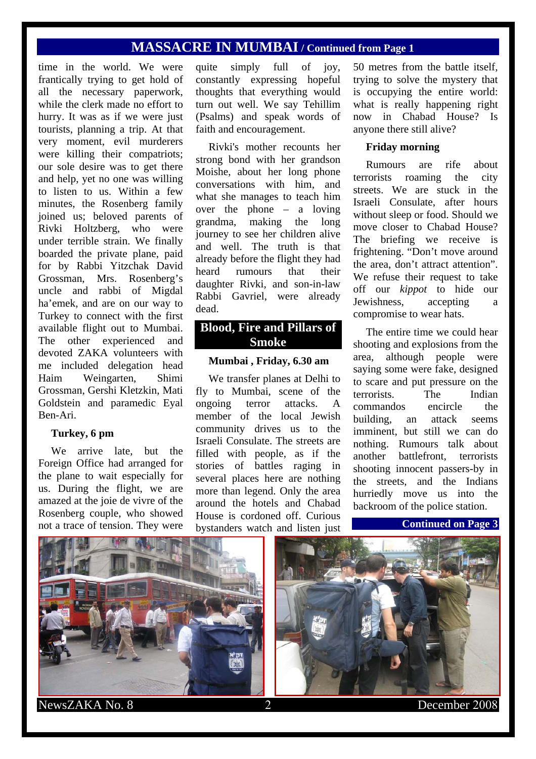time in the world. We were frantically trying to get hold of all the necessary paperwork, while the clerk made no effort to hurry. It was as if we were just tourists, planning a trip. At that very moment, evil murderers were killing their compatriots; our sole desire was to get there and help, yet no one was willing to listen to us. Within a few minutes, the Rosenberg family joined us; beloved parents of Rivki Holtzberg, who were under terrible strain. We finally boarded the private plane, paid for by Rabbi Yitzchak David Grossman, Mrs. Rosenberg's uncle and rabbi of Migdal ha'emek, and are on our way to Turkey to connect with the first available flight out to Mumbai. The other experienced and devoted ZAKA volunteers with me included delegation head Haim Weingarten, Shimi Grossman, Gershi Kletzkin, Mati Goldstein and paramedic Eyal Ben-Ari.

#### **Turkey, 6 pm**

We arrive late, but the Foreign Office had arranged for the plane to wait especially for us. During the flight, we are amazed at the joie de vivre of the Rosenberg couple, who showed not a trace of tension. They were

quite simply full of joy, constantly expressing hopeful thoughts that everything would turn out well. We say Tehillim (Psalms) and speak words of faith and encouragement.

Rivki's mother recounts her strong bond with her grandson Moishe, about her long phone conversations with him, and what she manages to teach him over the phone – a loving grandma, making the long journey to see her children alive and well. The truth is that already before the flight they had heard rumours that their daughter Rivki, and son-in-law Rabbi Gavriel, were already dead.

## **Blood, Fire and Pillars of Smoke**

#### **Mumbai , Friday, 6.30 am**

We transfer planes at Delhi to fly to Mumbai, scene of the ongoing terror attacks. A member of the local Jewish community drives us to the Israeli Consulate. The streets are filled with people, as if the stories of battles raging in several places here are nothing more than legend. Only the area around the hotels and Chabad House is cordoned off. Curious bystanders watch and listen just

50 metres from the battle itself, trying to solve the mystery that is occupying the entire world: what is really happening right now in Chabad House? Is anyone there still alive?

#### **Friday morning**

Rumours are rife about terrorists roaming the city streets. We are stuck in the Israeli Consulate, after hours without sleep or food. Should we move closer to Chabad House? The briefing we receive is frightening. "Don't move around the area, don't attract attention". We refuse their request to take off our *kippot* to hide our Jewishness, accepting a compromise to wear hats.

The entire time we could hear shooting and explosions from the area, although people were saying some were fake, designed to scare and put pressure on the terrorists. The Indian commandos encircle the building, an attack seems imminent, but still we can do nothing. Rumours talk about another battlefront, terrorists shooting innocent passers-by in the streets, and the Indians hurriedly move us into the backroom of the police station.

**Continued on Page 3**

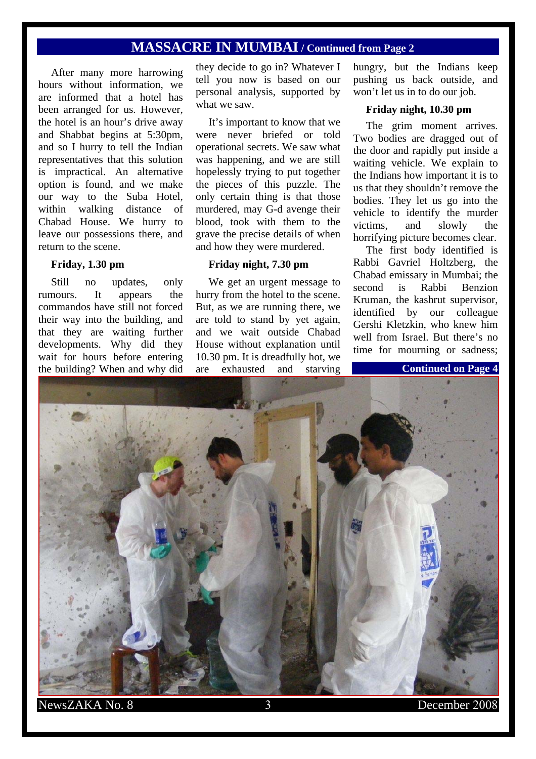After many more harrowing hours without information, we are informed that a hotel has been arranged for us. However, the hotel is an hour's drive away and Shabbat begins at 5:30pm, and so I hurry to tell the Indian representatives that this solution is impractical. An alternative option is found, and we make our way to the Suba Hotel, within walking distance of Chabad House. We hurry to leave our possessions there, and return to the scene.

#### **Friday, 1.30 pm**

Still no updates, only rumours. It appears the commandos have still not forced their way into the building, and that they are waiting further developments. Why did they wait for hours before entering the building? When and why did

they decide to go in? Whatever I tell you now is based on our personal analysis, supported by what we saw.

It's important to know that we were never briefed or told operational secrets. We saw what was happening, and we are still hopelessly trying to put together the pieces of this puzzle. The only certain thing is that those murdered, may G-d avenge their blood, took with them to the grave the precise details of when and how they were murdered.

#### **Friday night, 7.30 pm**

We get an urgent message to hurry from the hotel to the scene. But, as we are running there, we are told to stand by yet again, and we wait outside Chabad House without explanation until 10.30 pm. It is dreadfully hot, we are exhausted and starving hungry, but the Indians keep pushing us back outside, and won't let us in to do our job.

#### **Friday night, 10.30 pm**

The grim moment arrives. Two bodies are dragged out of the door and rapidly put inside a waiting vehicle. We explain to the Indians how important it is to us that they shouldn't remove the bodies. They let us go into the vehicle to identify the murder victims, and slowly the horrifying picture becomes clear.

The first body identified is Rabbi Gavriel Holtzberg, the Chabad emissary in Mumbai; the second is Rabbi Benzion Kruman, the kashrut supervisor, identified by our colleague Gershi Kletzkin, who knew him well from Israel. But there's no time for mourning or sadness;

**Continued on Page 4**



NewsZAKA No. 8 3 3 December 2008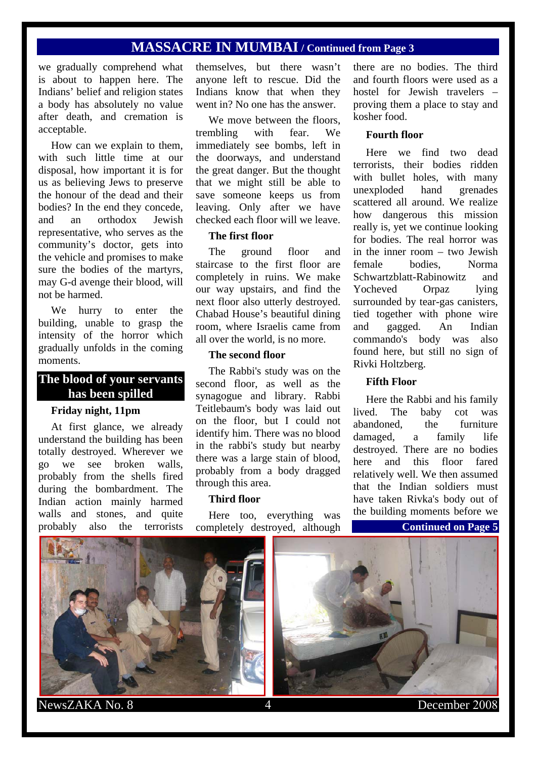we gradually comprehend what is about to happen here. The Indians' belief and religion states a body has absolutely no value after death, and cremation is acceptable.

How can we explain to them, with such little time at our disposal, how important it is for us as believing Jews to preserve the honour of the dead and their bodies? In the end they concede, and an orthodox Jewish representative, who serves as the community's doctor, gets into the vehicle and promises to make sure the bodies of the martyrs, may G-d avenge their blood, will not be harmed.

We hurry to enter the building, unable to grasp the intensity of the horror which gradually unfolds in the coming moments.

## **The blood of your servants has been spilled**

#### **Friday night, 11pm**

At first glance, we already understand the building has been totally destroyed. Wherever we go we see broken walls, probably from the shells fired during the bombardment. The Indian action mainly harmed walls and stones, and quite probably also the terrorists

themselves, but there wasn't anyone left to rescue. Did the Indians know that when they went in? No one has the answer.

We move between the floors. trembling with fear. We immediately see bombs, left in the doorways, and understand the great danger. But the thought that we might still be able to save someone keeps us from leaving. Only after we have checked each floor will we leave.

#### **The first floor**

The ground floor and staircase to the first floor are completely in ruins. We make our way upstairs, and find the next floor also utterly destroyed. Chabad House's beautiful dining room, where Israelis came from all over the world, is no more.

#### **The second floor**

The Rabbi's study was on the second floor, as well as the synagogue and library. Rabbi Teitlebaum's body was laid out on the floor, but I could not identify him. There was no blood in the rabbi's study but nearby there was a large stain of blood, probably from a body dragged through this area.

#### **Third floor**

Here too, everything was completely destroyed, although

there are no bodies. The third and fourth floors were used as a hostel for Jewish travelers – proving them a place to stay and kosher food.

#### **Fourth floor**

Here we find two dead terrorists, their bodies ridden with bullet holes, with many unexploded hand grenades scattered all around. We realize how dangerous this mission really is, yet we continue looking for bodies. The real horror was in the inner room – two Jewish female bodies, Norma Schwartzblatt-Rabinowitz and Yocheved Orpaz lying surrounded by tear-gas canisters, tied together with phone wire and gagged. An Indian commando's body was also found here, but still no sign of Rivki Holtzberg.

### **Fifth Floor**

Here the Rabbi and his family lived. The baby cot was abandoned, the furniture damaged, a family life destroyed. There are no bodies here and this floor fared relatively well. We then assumed that the Indian soldiers must have taken Rivka's body out of the building moments before we

**Continued on Page 5**

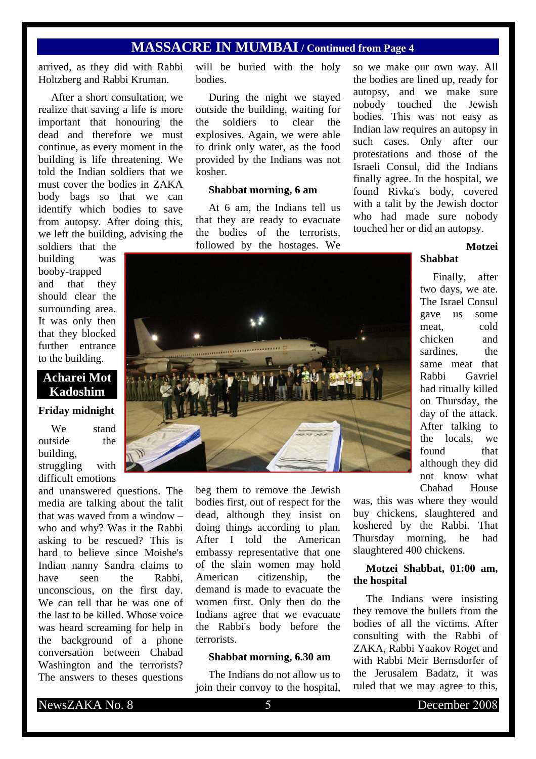arrived, as they did with Rabbi Holtzberg and Rabbi Kruman.

After a short consultation, we realize that saving a life is more important that honouring the dead and therefore we must continue, as every moment in the building is life threatening. We told the Indian soldiers that we must cover the bodies in ZAKA body bags so that we can identify which bodies to save from autopsy. After doing this, we left the building, advising the

soldiers that the building was booby-trapped and that they should clear the surrounding area. It was only then that they blocked further entrance to the building.

## **Acharei Mot Kadoshim**

#### **Friday midnight**

We stand outside the building, struggling with difficult emotions

and unanswered questions. The media are talking about the talit that was waved from a window – who and why? Was it the Rabbi asking to be rescued? This is hard to believe since Moishe's Indian nanny Sandra claims to have seen the Rabbi, unconscious, on the first day. We can tell that he was one of the last to be killed. Whose voice was heard screaming for help in the background of a phone conversation between Chabad Washington and the terrorists? The answers to theses questions

will be buried with the holy bodies.

During the night we stayed outside the building, waiting for the soldiers to clear the explosives. Again, we were able to drink only water, as the food provided by the Indians was not kosher.

#### **Shabbat morning, 6 am**

At 6 am, the Indians tell us that they are ready to evacuate the bodies of the terrorists, followed by the hostages. We

so we make our own way. All the bodies are lined up, ready for autopsy, and we make sure nobody touched the Jewish bodies. This was not easy as Indian law requires an autopsy in such cases. Only after our protestations and those of the Israeli Consul, did the Indians finally agree. In the hospital, we found Rivka's body, covered with a talit by the Jewish doctor who had made sure nobody touched her or did an autopsy.

## **Motzei**

#### **Shabbat**

Finally, after two days, we ate. The Israel Consul gave us some meat, cold chicken and sardines, the same meat that Rabbi Gavriel had ritually killed on Thursday, the day of the attack. After talking to the locals, we found that although they did not know what Chabad House

beg them to remove the Jewish bodies first, out of respect for the dead, although they insist on doing things according to plan. After I told the American embassy representative that one of the slain women may hold American citizenship, the demand is made to evacuate the women first. Only then do the Indians agree that we evacuate the Rabbi's body before the terrorists.

#### **Shabbat morning, 6.30 am**

The Indians do not allow us to join their convoy to the hospital, was, this was where they would buy chickens, slaughtered and koshered by the Rabbi. That Thursday morning, he had slaughtered 400 chickens.

### **Motzei Shabbat, 01:00 am, the hospital**

The Indians were insisting they remove the bullets from the bodies of all the victims. After consulting with the Rabbi of ZAKA, Rabbi Yaakov Roget and with Rabbi Meir Bernsdorfer of the Jerusalem Badatz, it was ruled that we may agree to this,

NewsZAKA No. 8 5 December 2008

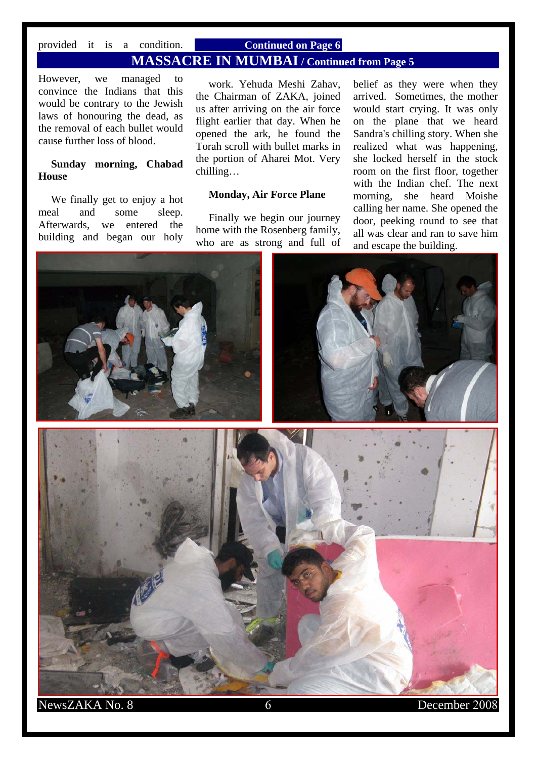## provided it is a condition. **Continued on Page 6 MASSACRE IN MUMBAI / Continued from Page 5**

However, we managed to convince the Indians that this would be contrary to the Jewish laws of honouring the dead, as the removal of each bullet would cause further loss of blood.

### **Sunday morning, Chabad House**

We finally get to enjoy a hot meal and some sleep. Afterwards, we entered the building and began our holy

work. Yehuda Meshi Zahav, the Chairman of ZAKA, joined us after arriving on the air force flight earlier that day. When he opened the ark, he found the Torah scroll with bullet marks in the portion of Aharei Mot. Very chilling…

#### **Monday, Air Force Plane**

Finally we begin our journey home with the Rosenberg family, who are as strong and full of

belief as they were when they arrived. Sometimes, the mother would start crying. It was only on the plane that we heard Sandra's chilling story. When she realized what was happening, she locked herself in the stock room on the first floor, together with the Indian chef. The next morning, she heard Moishe calling her name. She opened the door, peeking round to see that all was clear and ran to save him and escape the building.



NewsZAKA No. 8 6 December 2008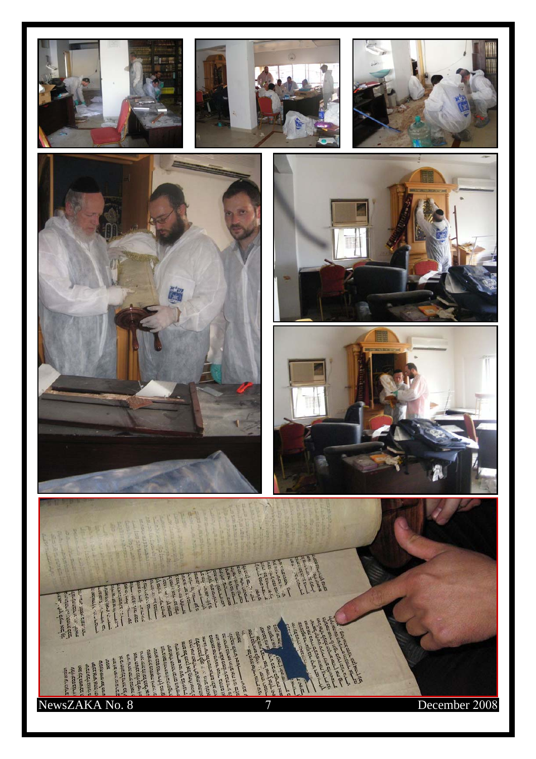